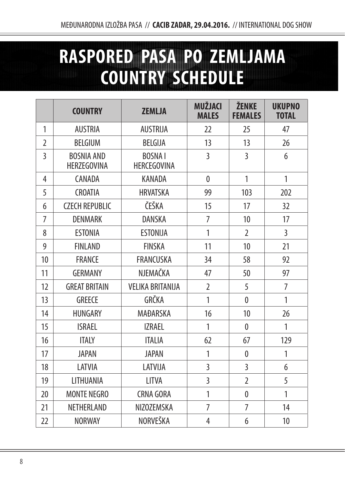## **RASPORED PASA PO ZEMLJAMA COUNTRY SCHEDULE**

|                | <b>COUNTRY</b>                          | <b>ZEMLJA</b>                       | <b>MUŽJACI</b><br><b>MALES</b> | ŽENKE<br><b>FEMALES</b> | <b>UKUPNO</b><br><b>TOTAL</b> |
|----------------|-----------------------------------------|-------------------------------------|--------------------------------|-------------------------|-------------------------------|
| 1              | <b>AUSTRIA</b>                          | <b>AUSTRIJA</b>                     | 22                             | 25                      | 47                            |
| $\overline{2}$ | <b>BELGIUM</b>                          | <b>BELGIJA</b>                      | 13                             | 13                      | 26                            |
| $\overline{3}$ | <b>BOSNIA AND</b><br><b>HERZEGOVINA</b> | <b>BOSNAI</b><br><b>HERCEGOVINA</b> | $\overline{3}$                 | $\overline{3}$          | 6                             |
| 4              | CANADA                                  | <b>KANADA</b>                       | $\overline{0}$                 | $\mathbf{1}$            | 1                             |
| 5              | <b>CROATIA</b>                          | <b>HRVATSKA</b>                     | 99                             | 103                     | 202                           |
| 6              | <b>CZECH REPUBLIC</b>                   | ČEŠKA                               | 15                             | 17                      | 32                            |
| 7              | <b>DENMARK</b>                          | <b>DANSKA</b>                       | 7                              | 10                      | 17                            |
| 8              | <b>ESTONIA</b>                          | <b>ESTONIJA</b>                     | 1                              | $\overline{2}$          | $\overline{3}$                |
| 9              | <b>FINLAND</b>                          | <b>FINSKA</b>                       | 11                             | 10                      | 21                            |
| 10             | <b>FRANCE</b>                           | <b>FRANCUSKA</b>                    | 34                             | 58                      | 92                            |
| 11             | <b>GERMANY</b>                          | NJEMAČKA                            | 47                             | 50                      | 97                            |
| 12             | <b>GREAT BRITAIN</b>                    | <b>VELIKA BRITANIJA</b>             | $\overline{2}$                 | 5                       | $\overline{7}$                |
| 13             | <b>GREECE</b>                           | GRČKA                               | $\mathbf{1}$                   | $\overline{0}$          | $\mathbf{1}$                  |
| 14             | <b>HUNGARY</b>                          | <b>MAĐARSKA</b>                     | 16                             | 10                      | 26                            |
| 15             | <b>ISRAEL</b>                           | <b>IZRAEL</b>                       | $\mathbf{1}$                   | $\mathbf{0}$            | $\mathbf{1}$                  |
| 16             | <b>ITALY</b>                            | <b>ITALIA</b>                       | 62                             | 67                      | 129                           |
| 17             | <b>JAPAN</b>                            | <b>JAPAN</b>                        | 1                              | $\mathbf{0}$            | 1                             |
| 18             | LATVIA                                  | LATVIJA                             | $\overline{3}$                 | 3                       | 6                             |
| 19             | LITHUANIA                               | <b>LITVA</b>                        | $\overline{3}$                 | $\overline{2}$          | 5                             |
| 20             | <b>MONTE NEGRO</b>                      | <b>CRNA GORA</b>                    | 1                              | $\mathbf 0$             | 1                             |
| 21             | NETHERLAND                              | <b>NIZOZEMSKA</b>                   | 7                              | $\overline{7}$          | 14                            |
| 22             | <b>NORWAY</b>                           | NORVEŠKA                            | 4                              | 6                       | 10                            |